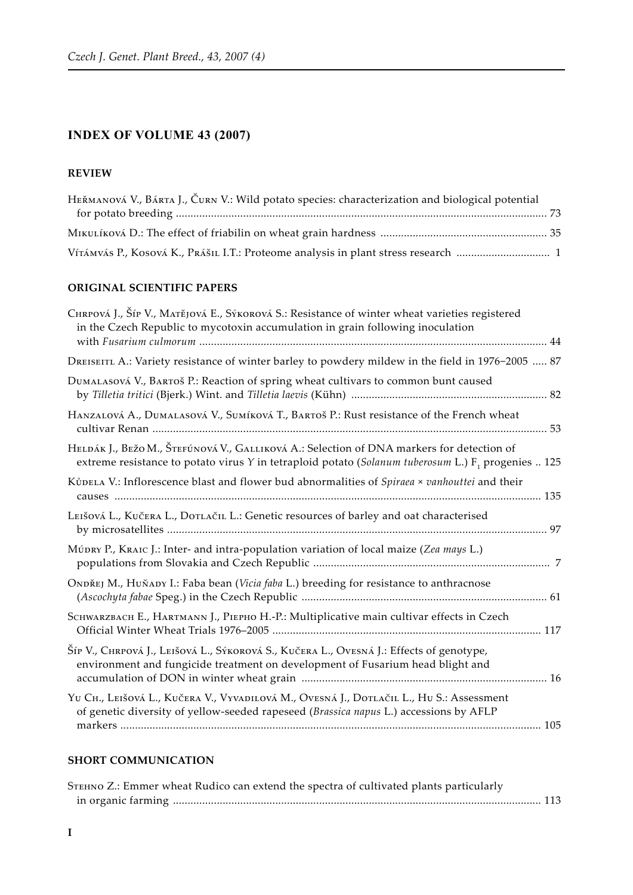# **INDEX OF VOLUME 43 (2007)**

### **Review**

| HEŘMANOVÁ V., BÁRTA J., ČURN V.: Wild potato species: characterization and biological potential |  |
|-------------------------------------------------------------------------------------------------|--|
|                                                                                                 |  |
|                                                                                                 |  |
|                                                                                                 |  |

#### **ORIGINAL SCIENTIFIC PAPERS**

| CHRPOVÁ J., Šíp V., MATĚJOVÁ E., SÝKOROVÁ S.: Resistance of winter wheat varieties registered<br>in the Czech Republic to mycotoxin accumulation in grain following inoculation                             |
|-------------------------------------------------------------------------------------------------------------------------------------------------------------------------------------------------------------|
| DREISEITL A.: Variety resistance of winter barley to powdery mildew in the field in 1976-2005  87                                                                                                           |
| DUMALASOVÁ V., BARTOŠ P.: Reaction of spring wheat cultivars to common bunt caused                                                                                                                          |
| HANZALOVÁ A., DUMALASOVÁ V., SUMÍKOVÁ T., BARTOŠ P.: Rust resistance of the French wheat                                                                                                                    |
| HELDÁK J., BEŽO M., ŠTEFÚNOVÁ V., GALLIKOVÁ A.: Selection of DNA markers for detection of<br>extreme resistance to potato virus Y in tetraploid potato (Solanum tuberosum L.) F <sub>1</sub> progenies  125 |
| KŮDELA V.: Inflorescence blast and flower bud abnormalities of Spiraea × vanhouttei and their                                                                                                               |
| LEIŠOVÁ L., KUČERA L., DOTLAČIL L.: Genetic resources of barley and oat characterised                                                                                                                       |
| MÚDRY P., KRAIC J.: Inter- and intra-population variation of local maize (Zea mays L.)                                                                                                                      |
| ONDŘEJ M., HUŇADY I.: Faba bean (Vicia faba L.) breeding for resistance to anthracnose                                                                                                                      |
| SCHWARZBACH E., HARTMANN J., PIEPHO H.-P.: Multiplicative main cultivar effects in Czech                                                                                                                    |
| Šíp V., CHRPOVÁ J., LEIŠOVÁ L., SÝKOROVÁ S., KUČERA L., OVESNÁ J.: Effects of genotype,<br>environment and fungicide treatment on development of Fusarium head blight and                                   |
| YU CH., LEIŠOVÁ L., KUČERA V., VYVADILOVÁ M., OVESNÁ J., DOTLAČIL L., HU S.: Assessment<br>of genetic diversity of yellow-seeded rapeseed (Brassica napus L.) accessions by AFLP                            |
|                                                                                                                                                                                                             |

#### **SHORT COMMUNICATION**

| STEHNO Z.: Emmer wheat Rudico can extend the spectra of cultivated plants particularly |  |
|----------------------------------------------------------------------------------------|--|
|                                                                                        |  |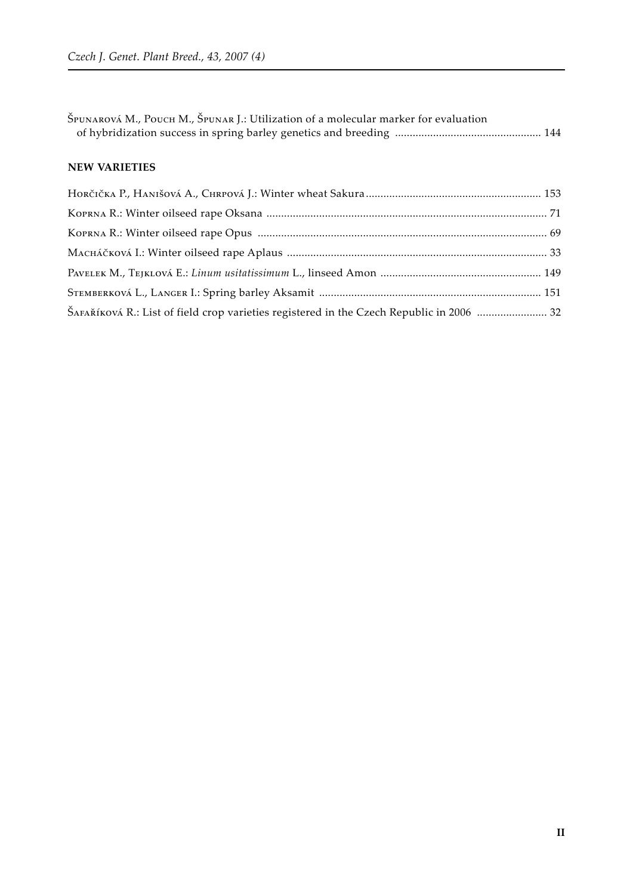| ŠAFAŘÍKOVÁ R.: List of field crop varieties registered in the Czech Republic in 2006  32 |
|------------------------------------------------------------------------------------------|
|                                                                                          |